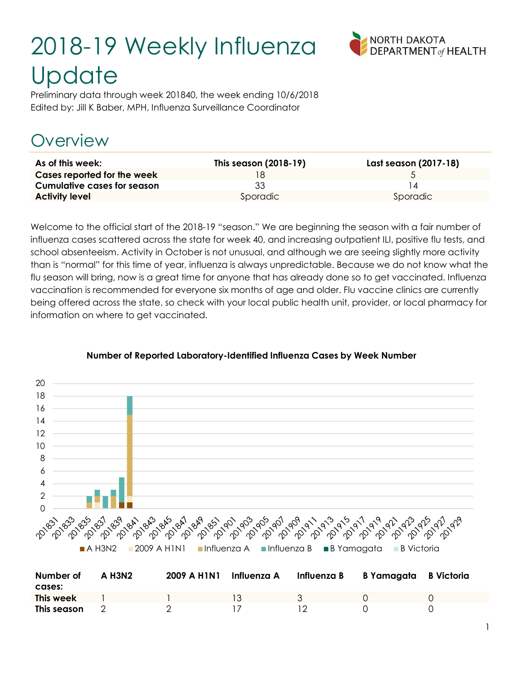# 2018-19 Weekly Influenza **Update**



Preliminary data through week 201840, the week ending 10/6/2018 Edited by: Jill K Baber, MPH, Influenza Surveillance Coordinator

## Overview

| As of this week:            | This season (2018-19) | Last season (2017-18) |
|-----------------------------|-----------------------|-----------------------|
| Cases reported for the week |                       |                       |
| Cumulative cases for season | 33                    |                       |
| <b>Activity level</b>       | Sporadic              | Sporadic              |

Welcome to the official start of the 2018-19 "season." We are beginning the season with a fair number of influenza cases scattered across the state for week 40, and increasing outpatient ILI, positive flu tests, and school absenteeism. Activity in October is not unusual, and although we are seeing slightly more activity than is "normal" for this time of year, influenza is always unpredictable. Because we do not know what the flu season will bring, now is a great time for anyone that has already done so to get vaccinated. Influenza vaccination is recommended for everyone six months of age and older. Flu vaccine clinics are currently being offered across the state, so check with your local public health unit, provider, or local pharmacy for information on where to get vaccinated.



#### Number of Reported Laboratory-Identified Influenza Cases by Week Number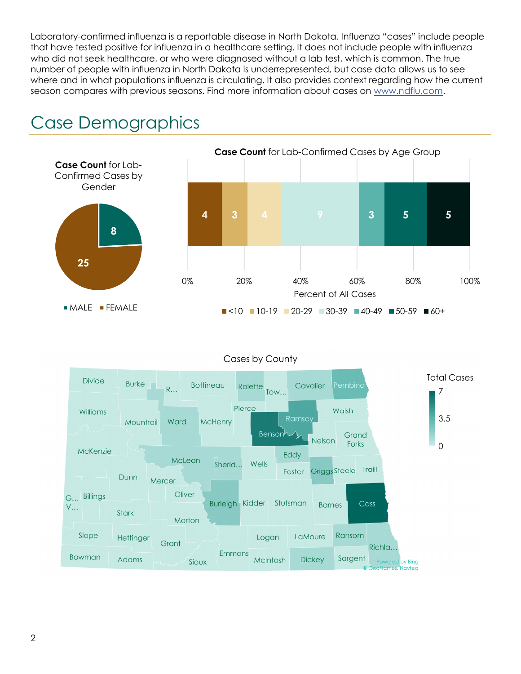Laboratory-confirmed influenza is a reportable disease in North Dakota. Influenza "cases" include people that have tested positive for influenza in a healthcare setting. It does not include people with influenza who did not seek healthcare, or who were diagnosed without a lab test, which is common. The true number of people with influenza in North Dakota is underrepresented, but case data allows us to see where and in what populations influenza is circulating. It also provides context regarding how the current season compares with previous seasons. Find more information about cases on www.ndflu.com.





Cases by County

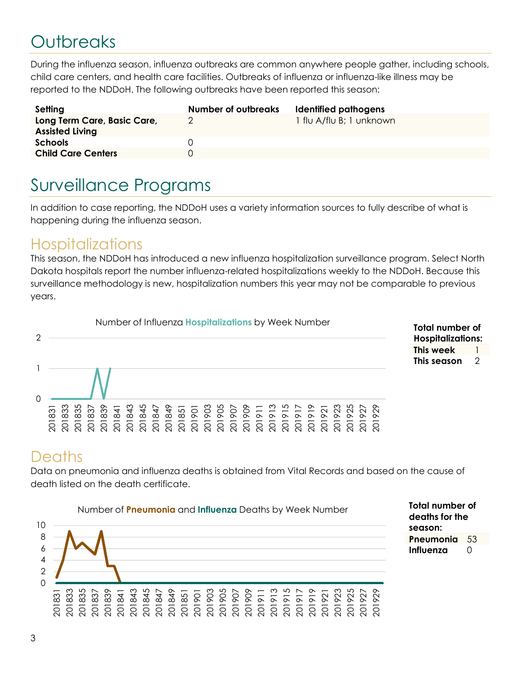## **Outbreaks**

During the influenza season, influenza outbreaks are common anywhere people gather, including schools, child care centers, and health care facilities. Outbreaks of influenza or influenza-like illness may be reported to the NDDoH. The following outbreaks have been reported this season:

| Setting                                               | Number of outbreaks | Identified pathogens     |
|-------------------------------------------------------|---------------------|--------------------------|
| Long Term Care, Basic Care,<br><b>Assisted Living</b> |                     | 1 flu A/flu B; 1 unknown |
| <b>Schools</b>                                        |                     |                          |
| <b>Child Care Centers</b>                             |                     |                          |

## Surveillance Programs

In addition to case reporting, the NDDoH uses a variety information sources to fully describe of what is happening during the influenza season.

#### **Hospitalizations**

This season, the NDDoH has introduced a new influenza hospitalization surveillance program. Select North Dakota hospitals report the number influenza-related hospitalizations weekly to the NDDoH. Because this surveillance methodology is new, hospitalization numbers this year may not be comparable to previous years.



#### **Deaths**

Data on pneumonia and influenza deaths is obtained from Vital Records and based on the cause of death listed on the death certificate.



Total number of deaths for the season: Pneumonia 53 Influenza  $\Omega$ 

Total number of Hospitalizations: This week 1 This season 2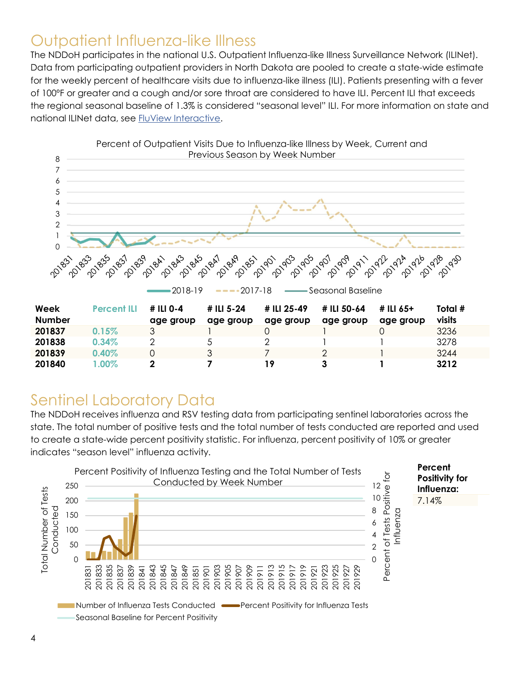#### Outpatient Influenza-like Illness

The NDDoH participates in the national U.S. Outpatient Influenza-like Illness Surveillance Network (ILINet). Data from participating outpatient providers in North Dakota are pooled to create a state-wide estimate for the weekly percent of healthcare visits due to influenza-like illness (ILI). Patients presenting with a fever of 100ºF or greater and a cough and/or sore throat are considered to have ILI. Percent ILI that exceeds the regional seasonal baseline of 1.3% is considered "seasonal level" ILI. For more information on state and national ILINet data, see FluView Interactive.



### Sentinel Laboratory Data

The NDDoH receives influenza and RSV testing data from participating sentinel laboratories across the state. The total number of positive tests and the total number of tests conducted are reported and used to create a state-wide percent positivity statistic. For influenza, percent positivity of 10% or greater indicates "season level" influenza activity.

201840 1.00% 2 7 19 3 1 3212

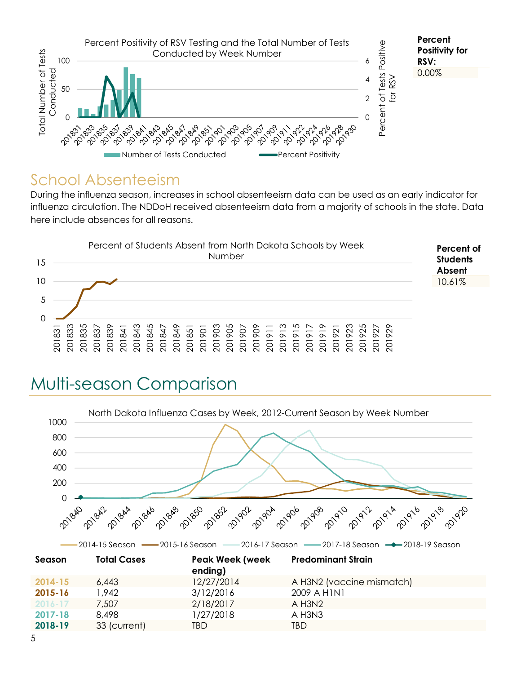

#### School Absenteeism

During the influenza season, increases in school absenteeism data can be used as an early indicator for influenza circulation. The NDDoH received absenteeism data from a majority of schools in the state. Data here include absences for all reasons.



## Multi-season Comparison